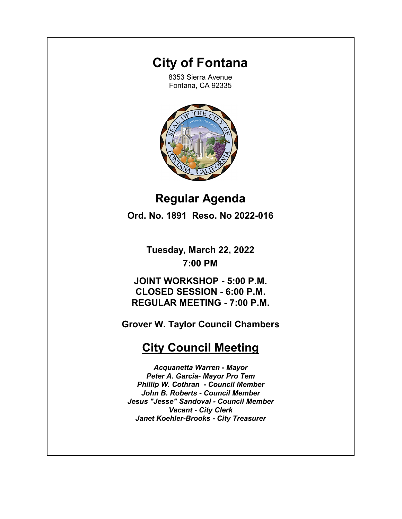# **City of Fontana**

8353 Sierra Avenue Fontana, CA 92335



**Regular Agenda Ord. No. 1891 Reso. No 2022-016**

> **Tuesday, March 22, 2022 7:00 PM**

**JOINT WORKSHOP - 5:00 P.M. CLOSED SESSION - 6:00 P.M. REGULAR MEETING - 7:00 P.M.**

**Grover W. Taylor Council Chambers**

# **City Council Meeting**

*Acquanetta Warren - Mayor Peter A. Garcia- Mayor Pro Tem Phillip W. Cothran - Council Member John B. Roberts - Council Member Jesus "Jesse" Sandoval - Council Member Vacant - City Clerk Janet Koehler-Brooks - City Treasurer*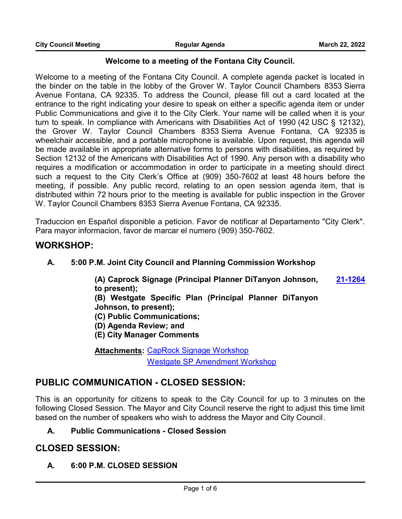### **Welcome to a meeting of the Fontana City Council.**

Welcome to a meeting of the Fontana City Council. A complete agenda packet is located in the binder on the table in the lobby of the Grover W. Taylor Council Chambers 8353 Sierra Avenue Fontana, CA 92335. To address the Council, please fill out a card located at the entrance to the right indicating your desire to speak on either a specific agenda item or under Public Communications and give it to the City Clerk. Your name will be called when it is your turn to speak. In compliance with Americans with Disabilities Act of 1990 (42 USC § 12132), the Grover W. Taylor Council Chambers 8353 Sierra Avenue Fontana, CA 92335 is wheelchair accessible, and a portable microphone is available. Upon request, this agenda will be made available in appropriate alternative forms to persons with disabilities, as required by Section 12132 of the Americans with Disabilities Act of 1990. Any person with a disability who requires a modification or accommodation in order to participate in a meeting should direct such a request to the City Clerk's Office at (909) 350-7602 at least 48 hours before the meeting, if possible. Any public record, relating to an open session agenda item, that is distributed within 72 hours prior to the meeting is available for public inspection in the Grover W. Taylor Council Chambers 8353 Sierra Avenue Fontana, CA 92335.

Traduccion en Español disponible a peticion. Favor de notificar al Departamento "City Clerk". Para mayor informacion, favor de marcar el numero (909) 350-7602.

### **WORKSHOP:**

### **A. 5:00 P.M. Joint City Council and Planning Commission Workshop**

**(A) Caprock Signage (Principal Planner DiTanyon Johnson, to present); [21-1264](http://fontana.legistar.com/gateway.aspx?m=l&id=/matter.aspx?key=2350)**

**(B) Westgate Specific Plan (Principal Planner DiTanyon Johnson, to present);** 

**(C) Public Communications;**

- **(D) Agenda Review; and**
- **(E) City Manager Comments**

**Attachments: [CapRock Signage Workshop](http://fontana.legistar.com/gateway.aspx?M=F&ID=f3174bb7-c495-40bb-a464-58f91bdd6660.pptx)** [Westgate SP Amendment Workshop](http://fontana.legistar.com/gateway.aspx?M=F&ID=9278fc69-4474-482b-8623-3e19aef230d6.pptx)

## **PUBLIC COMMUNICATION - CLOSED SESSION:**

This is an opportunity for citizens to speak to the City Council for up to 3 minutes on the following Closed Session. The Mayor and City Council reserve the right to adjust this time limit based on the number of speakers who wish to address the Mayor and City Council.

### **A. Public Communications - Closed Session**

## **CLOSED SESSION:**

### **A. 6:00 P.M. CLOSED SESSION**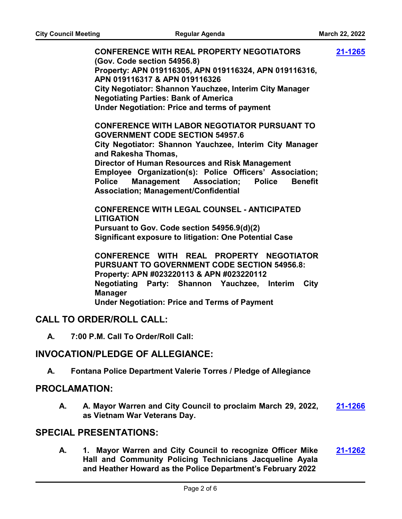**CONFERENCE WITH REAL PROPERTY NEGOTIATORS (Gov. Code section 54956.8) Property: APN 019116305, APN 019116324, APN 019116316, APN 019116317 & APN 019116326 City Negotiator: Shannon Yauchzee, Interim City Manager Negotiating Parties: Bank of America Under Negotiation: Price and terms of payment CONFERENCE WITH LABOR NEGOTIATOR PURSUANT TO GOVERNMENT CODE SECTION 54957.6 City Negotiator: Shannon Yauchzee, Interim City Manager and Rakesha Thomas, Director of Human Resources and Risk Management Employee Organization(s): Police Officers' Association; Police Management Association; Police Benefit Association; Management/Confidential CONFERENCE WITH LEGAL COUNSEL - ANTICIPATED LITIGATION Pursuant to Gov. Code section 54956.9(d)(2) Significant exposure to litigation: One Potential Case CONFERENCE WITH REAL PROPERTY NEGOTIATOR PURSUANT TO GOVERNMENT CODE SECTION 54956.8: Property: APN #023220113 & APN #023220112 Negotiating Party: Shannon Yauchzee, Interim City Manager Under Negotiation: Price and Terms of Payment [21-1265](http://fontana.legistar.com/gateway.aspx?m=l&id=/matter.aspx?key=2351)**

### **CALL TO ORDER/ROLL CALL:**

**A. 7:00 P.M. Call To Order/Roll Call:**

### **INVOCATION/PLEDGE OF ALLEGIANCE:**

**A. Fontana Police Department Valerie Torres / Pledge of Allegiance**

### **PROCLAMATION:**

**A. A. Mayor Warren and City Council to proclaim March 29, 2022, as Vietnam War Veterans Day. [21-1266](http://fontana.legistar.com/gateway.aspx?m=l&id=/matter.aspx?key=2352)**

### **SPECIAL PRESENTATIONS:**

**A. 1. Mayor Warren and City Council to recognize Officer Mike Hall and Community Policing Technicians Jacqueline Ayala and Heather Howard as the Police Department's February 2022 [21-1262](http://fontana.legistar.com/gateway.aspx?m=l&id=/matter.aspx?key=2348)**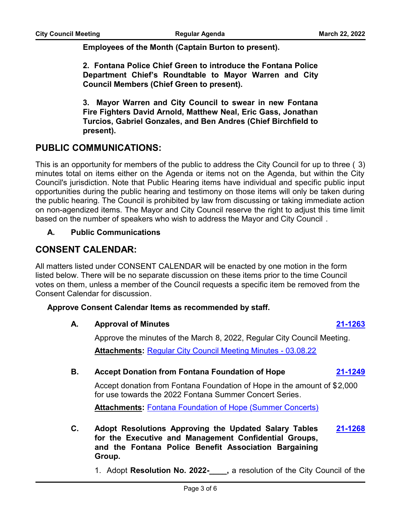**Employees of the Month (Captain Burton to present).**

**2. Fontana Police Chief Green to introduce the Fontana Police Department Chief's Roundtable to Mayor Warren and City Council Members (Chief Green to present).**

**3. Mayor Warren and City Council to swear in new Fontana Fire Fighters David Arnold, Matthew Neal, Eric Gass, Jonathan Turcios, Gabriel Gonzales, and Ben Andres (Chief Birchfield to present).**

## **PUBLIC COMMUNICATIONS:**

This is an opportunity for members of the public to address the City Council for up to three ( 3) minutes total on items either on the Agenda or items not on the Agenda, but within the City Council's jurisdiction. Note that Public Hearing items have individual and specific public input opportunities during the public hearing and testimony on those items will only be taken during the public hearing. The Council is prohibited by law from discussing or taking immediate action on non-agendized items. The Mayor and City Council reserve the right to adjust this time limit based on the number of speakers who wish to address the Mayor and City Council .

### **A. Public Communications**

## **CONSENT CALENDAR:**

All matters listed under CONSENT CALENDAR will be enacted by one motion in the form listed below. There will be no separate discussion on these items prior to the time Council votes on them, unless a member of the Council requests a specific item be removed from the Consent Calendar for discussion.

### **Approve Consent Calendar Items as recommended by staff.**

### **A. Approval of Minutes [21-1263](http://fontana.legistar.com/gateway.aspx?m=l&id=/matter.aspx?key=2349)**

Approve the minutes of the March 8, 2022, Regular City Council Meeting. **Attachments:** [Regular City Council Meeting Minutes - 03.08.22](http://fontana.legistar.com/gateway.aspx?M=F&ID=9b046916-6b68-471a-a025-11a1d094b70a.pdf)

### **B. Accept Donation from Fontana Foundation of Hope [21-1249](http://fontana.legistar.com/gateway.aspx?m=l&id=/matter.aspx?key=2335)**

Accept donation from Fontana Foundation of Hope in the amount of \$2,000 for use towards the 2022 Fontana Summer Concert Series.

**Attachments:** [Fontana Foundation of Hope \(Summer Concerts\)](http://fontana.legistar.com/gateway.aspx?M=F&ID=c56c88d6-2e54-41bf-a6b7-a80a8c46abf1.pdf)

- **C. Adopt Resolutions Approving the Updated Salary Tables for the Executive and Management Confidential Groups, and the Fontana Police Benefit Association Bargaining Group. [21-1268](http://fontana.legistar.com/gateway.aspx?m=l&id=/matter.aspx?key=2354)**
	- 1. Adopt **Resolution No. 2022-\_\_\_\_,** a resolution of the City Council of the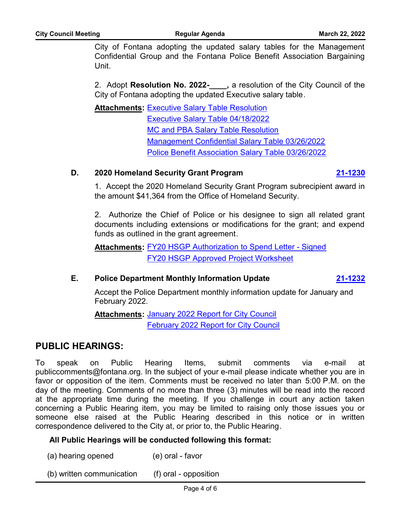City of Fontana adopting the updated salary tables for the Management Confidential Group and the Fontana Police Benefit Association Bargaining Unit.

2. Adopt **Resolution No. 2022-\_\_\_\_,** a resolution of the City Council of the City of Fontana adopting the updated Executive salary table.

<u>**Attachments: [Executive Salary Table Resolution](http://fontana.legistar.com/gateway.aspx?M=F&ID=e0f02880-2c24-4a23-897f-77244308b2f8.pdf)**</u> [Executive Salary Table 04/18/2022](http://fontana.legistar.com/gateway.aspx?M=F&ID=44b898f5-4e20-4fbc-8e9d-8bc1fccee2b9.pdf) [MC and PBA Salary Table Resolution](http://fontana.legistar.com/gateway.aspx?M=F&ID=e7aa3f33-9cbd-4344-98ac-53b68ad370a2.pdf) [Management Confidential Salary Table 03/26/2022](http://fontana.legistar.com/gateway.aspx?M=F&ID=32b70ca6-56d1-449e-9301-06828a536c87.pdf) [Police Benefit Association Salary Table 03/26/2022](http://fontana.legistar.com/gateway.aspx?M=F&ID=b337cdcb-9cee-43dd-9cfe-369554b8d271.pdf)

### **D. 2020 Homeland Security Grant Program [21-1230](http://fontana.legistar.com/gateway.aspx?m=l&id=/matter.aspx?key=2316)**

1. Accept the 2020 Homeland Security Grant Program subrecipient award in the amount \$41,364 from the Office of Homeland Security.

2. Authorize the Chief of Police or his designee to sign all related grant documents including extensions or modifications for the grant; and expend funds as outlined in the grant agreement.

**Attachments: [FY20 HSGP Authorization to Spend Letter - Signed](http://fontana.legistar.com/gateway.aspx?M=F&ID=6c8a705b-8db6-49fc-bf92-e41e82465b46.pdf)** [FY20 HSGP Approved Project Worksheet](http://fontana.legistar.com/gateway.aspx?M=F&ID=a0df6390-4183-46c1-abdf-03efcbbbd554.pdf)

### **E. Police Department Monthly Information Update [21-1232](http://fontana.legistar.com/gateway.aspx?m=l&id=/matter.aspx?key=2318)**

Accept the Police Department monthly information update for January and February 2022.

**Attachments: [January 2022 Report for City Council](http://fontana.legistar.com/gateway.aspx?M=F&ID=b89f1f71-7eb7-46be-921c-e3a98aabe8c5.pptx)** [February 2022 Report for City Council](http://fontana.legistar.com/gateway.aspx?M=F&ID=6fc946cb-6bd1-4f83-912b-2885221b4946.pptx)

## **PUBLIC HEARINGS:**

To speak on Public Hearing Items, submit comments via e-mail at publiccomments@fontana.org. In the subject of your e-mail please indicate whether you are in favor or opposition of the item. Comments must be received no later than 5:00 P.M. on the day of the meeting. Comments of no more than three (3) minutes will be read into the record at the appropriate time during the meeting. If you challenge in court any action taken concerning a Public Hearing item, you may be limited to raising only those issues you or someone else raised at the Public Hearing described in this notice or in written correspondence delivered to the City at, or prior to, the Public Hearing.

### **All Public Hearings will be conducted following this format:**

(a) hearing opened (e) oral - favor

(b) written communication (f) oral - opposition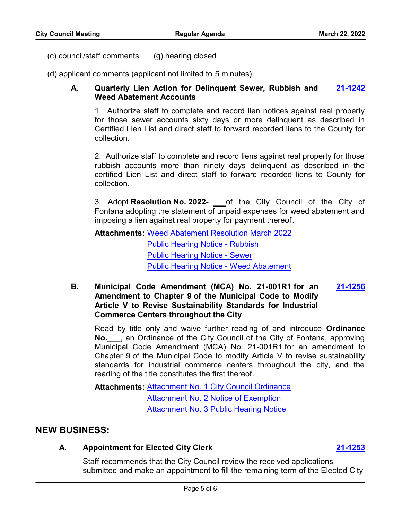(c) council/staff comments (g) hearing closed

(d) applicant comments (applicant not limited to 5 minutes)

### **A. Quarterly Lien Action for Delinquent Sewer, Rubbish and Weed Abatement Accounts [21-1242](http://fontana.legistar.com/gateway.aspx?m=l&id=/matter.aspx?key=2328)**

1. Authorize staff to complete and record lien notices against real property for those sewer accounts sixty days or more delinquent as described in Certified Lien List and direct staff to forward recorded liens to the County for collection.

2. Authorize staff to complete and record liens against real property for those rubbish accounts more than ninety days delinquent as described in the certified Lien List and direct staff to forward recorded liens to County for collection.

3. Adopt **Resolution No. 2022- \_\_\_**of the City Council of the City of Fontana adopting the statement of unpaid expenses for weed abatement and imposing a lien against real property for payment thereof.

**Attachments: [Weed Abatement Resolution March 2022](http://fontana.legistar.com/gateway.aspx?M=F&ID=c1db961b-73dc-49f0-9f0b-b386925afcb2.docx)** [Public Hearing Notice - Rubbish](http://fontana.legistar.com/gateway.aspx?M=F&ID=3352d5f1-4d7f-49b2-a3d1-1b2d25e16de9.pdf) [Public Hearing Notice - Sewer](http://fontana.legistar.com/gateway.aspx?M=F&ID=05f29d2f-b0ea-4ac4-b11e-c5fbeee53cfa.pdf) [Public Hearing Notice - Weed Abatement](http://fontana.legistar.com/gateway.aspx?M=F&ID=8f47a3e6-f3b7-47f5-abd1-22f8cef7da57.pdf)

**B. Municipal Code Amendment (MCA) No. 21-001R1 for an Amendment to Chapter 9 of the Municipal Code to Modify Article V to Revise Sustainability Standards for Industrial Commerce Centers throughout the City [21-1256](http://fontana.legistar.com/gateway.aspx?m=l&id=/matter.aspx?key=2342)**

Read by title only and waive further reading of and introduce **Ordinance No.\_\_\_**, an Ordinance of the City Council of the City of Fontana, approving Municipal Code Amendment (MCA) No. 21-001R1 for an amendment to Chapter 9 of the Municipal Code to modify Article V to revise sustainability standards for industrial commerce centers throughout the city, and the reading of the title constitutes the first thereof.

Attachments: [Attachment No. 1 City Council Ordinance](http://fontana.legistar.com/gateway.aspx?M=F&ID=706a0fc3-71b8-4e8d-b8c9-4f4a49f7e854.docx) [Attachment No. 2 Notice of Exemption](http://fontana.legistar.com/gateway.aspx?M=F&ID=4c843125-7a88-4239-ab74-c78423941171.doc) [Attachment No. 3 Public Hearing Notice](http://fontana.legistar.com/gateway.aspx?M=F&ID=1be80241-85e3-4abf-aa3b-a9b9dd4c973b.docx)

## **NEW BUSINESS:**

### **A. Appointment for Elected City Clerk [21-1253](http://fontana.legistar.com/gateway.aspx?m=l&id=/matter.aspx?key=2339)**

Staff recommends that the City Council review the received applications submitted and make an appointment to fill the remaining term of the Elected City